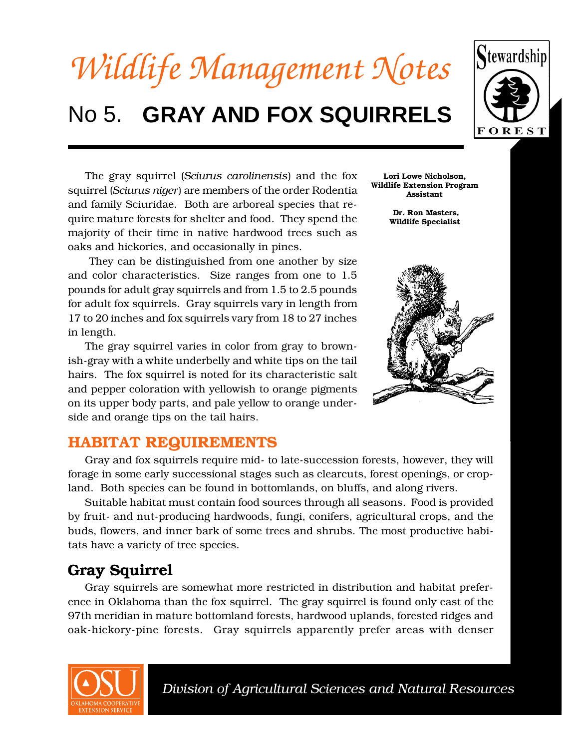

# No 5. GRAY AND FOX SQUIRRELS



The gray squirrel (*Sciurus carolinensis*) and the fox squirrel (*Sciurus niger*) are members of the order Rodentia and family Sciuridae. Both are arboreal species that require mature forests for shelter and food. They spend the majority of their time in native hardwood trees such as oaks and hickories, and occasionally in pines.

 They can be distinguished from one another by size and color characteristics. Size ranges from one to 1.5 pounds for adult gray squirrels and from 1.5 to 2.5 pounds for adult fox squirrels. Gray squirrels vary in length from 17 to 20 inches and fox squirrels vary from 18 to 27 inches in length.

The gray squirrel varies in color from gray to brownish-gray with a white underbelly and white tips on the tail hairs. The fox squirrel is noted for its characteristic salt and pepper coloration with yellowish to orange pigments on its upper body parts, and pale yellow to orange underside and orange tips on the tail hairs.

**Lori Lowe Nicholson, Wildlife Extension Program Assistant**

> **Dr. Ron Masters, Wildlife Specialist**



#### **HABITAT REQUIREMENTS**

Gray and fox squirrels require mid- to late-succession forests, however, they will forage in some early successional stages such as clearcuts, forest openings, or cropland. Both species can be found in bottomlands, on bluffs, and along rivers.

Suitable habitat must contain food sources through all seasons. Food is provided by fruit- and nut-producing hardwoods, fungi, conifers, agricultural crops, and the buds, flowers, and inner bark of some trees and shrubs. The most productive habitats have a variety of tree species.

### **Gray Squirrel**

Gray squirrels are somewhat more restricted in distribution and habitat preference in Oklahoma than the fox squirrel. The gray squirrel is found only east of the 97th meridian in mature bottomland forests, hardwood uplands, forested ridges and oak-hickory-pine forests. Gray squirrels apparently prefer areas with denser

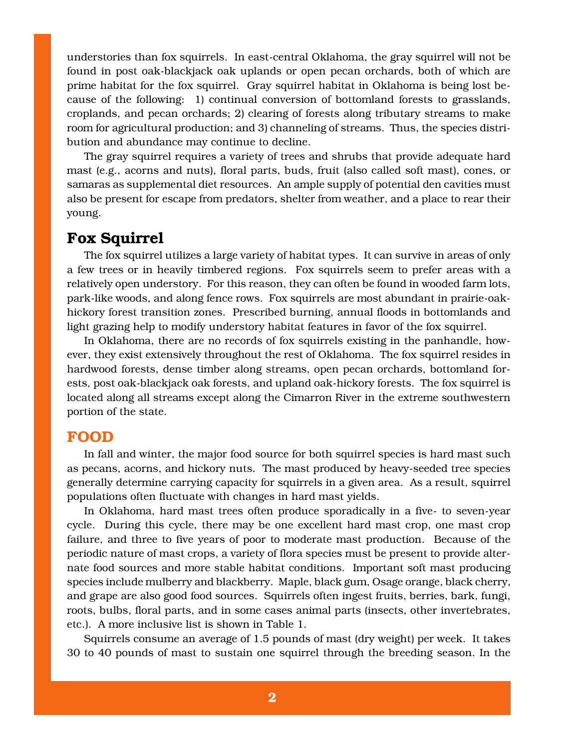understories than fox squirrels. In east-central Oklahoma, the gray squirrel will not be found in post oak-blackjack oak uplands or open pecan orchards, both of which are prime habitat for the fox squirrel. Gray squirrel habitat in Oklahoma is being lost because of the following: 1) continual conversion of bottomland forests to grasslands, croplands, and pecan orchards; 2) clearing of forests along tributary streams to make room for agricultural production; and 3) channeling of streams. Thus, the species distribution and abundance may continue to decline.

The gray squirrel requires a variety of trees and shrubs that provide adequate hard mast (e.g., acorns and nuts), floral parts, buds, fruit (also called soft mast), cones, or samaras as supplemental diet resources. An ample supply of potential den cavities must also be present for escape from predators, shelter from weather, and a place to rear their young.

#### **Fox Squirrel**

The fox squirrel utilizes a large variety of habitat types. It can survive in areas of only a few trees or in heavily timbered regions. Fox squirrels seem to prefer areas with a relatively open understory. For this reason, they can often be found in wooded farm lots, park-like woods, and along fence rows. Fox squirrels are most abundant in prairie-oakhickory forest transition zones. Prescribed burning, annual floods in bottomlands and light grazing help to modify understory habitat features in favor of the fox squirrel.

In Oklahoma, there are no records of fox squirrels existing in the panhandle, however, they exist extensively throughout the rest of Oklahoma. The fox squirrel resides in hardwood forests, dense timber along streams, open pecan orchards, bottomland forests, post oak-blackjack oak forests, and upland oak-hickory forests. The fox squirrel is located along all streams except along the Cimarron River in the extreme southwestern portion of the state.

#### **FOOD**

In fall and winter, the major food source for both squirrel species is hard mast such as pecans, acorns, and hickory nuts. The mast produced by heavy-seeded tree species generally determine carrying capacity for squirrels in a given area. As a result, squirrel populations often fluctuate with changes in hard mast yields.

In Oklahoma, hard mast trees often produce sporadically in a five- to seven-year cycle. During this cycle, there may be one excellent hard mast crop, one mast crop failure, and three to five years of poor to moderate mast production. Because of the periodic nature of mast crops, a variety of flora species must be present to provide alternate food sources and more stable habitat conditions. Important soft mast producing species include mulberry and blackberry. Maple, black gum, Osage orange, black cherry, and grape are also good food sources. Squirrels often ingest fruits, berries, bark, fungi, roots, bulbs, floral parts, and in some cases animal parts (insects, other invertebrates, etc.). A more inclusive list is shown in Table 1.

Squirrels consume an average of 1.5 pounds of mast (dry weight) per week. It takes 30 to 40 pounds of mast to sustain one squirrel through the breeding season. In the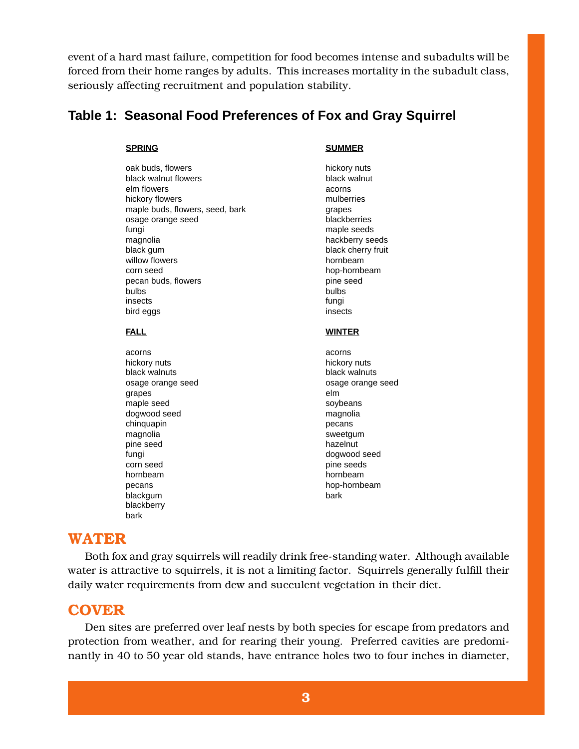event of a hard mast failure, competition for food becomes intense and subadults will be forced from their home ranges by adults. This increases mortality in the subadult class, seriously affecting recruitment and population stability.

#### **Table 1: Seasonal Food Preferences of Fox and Gray Squirrel**

oak buds, flowers hickory nuts black walnut flowers black walnut elm flowers acorns hickory flowers mulberries mulberries maple buds, flowers, seed, bark grapes osage orange seed blackberries fungi maple seeds magnolia hackberry seeds black gum black cherry fruit willow flowers hornbeam corn seed hop-hornbeam hop-hornbeam pecan buds, flowers **pine seed** bulbs bulbs insects fungi bird eggs insects

acorns acorns hickory nuts hickory nuts black walnuts black walnuts grapes elm maple seed soybeans dogwood seed magnolia chinquapin **pecans** magnolia sweetgum pine seed hazelnut fungi dogwood seed corn seed pine seeds hornbeam hornbeam pecans hop-hornbeam hop-hornbeam blackgum bark blackberry bark

#### **SPRING SUMMER**

#### **FALL WINTER**

osage orange seed osage orange seed

#### **WATER**

Both fox and gray squirrels will readily drink free-standing water. Although available water is attractive to squirrels, it is not a limiting factor. Squirrels generally fulfill their daily water requirements from dew and succulent vegetation in their diet.

#### **COVER**

Den sites are preferred over leaf nests by both species for escape from predators and protection from weather, and for rearing their young. Preferred cavities are predominantly in 40 to 50 year old stands, have entrance holes two to four inches in diameter,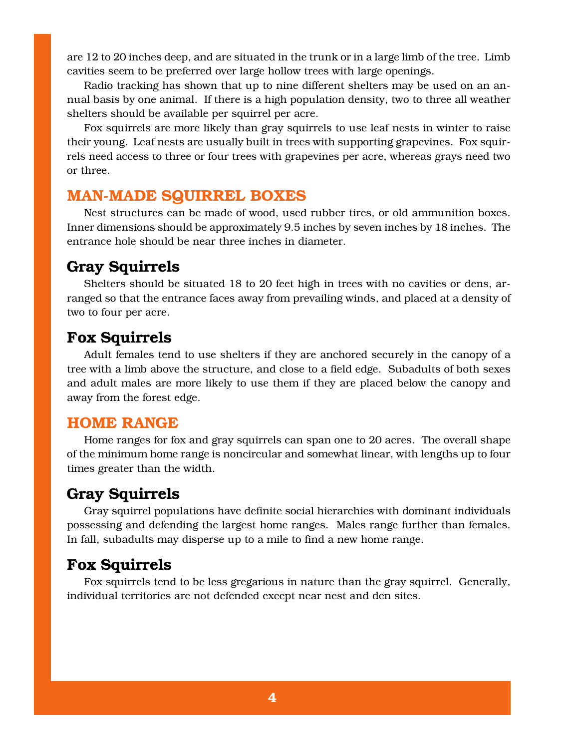are 12 to 20 inches deep, and are situated in the trunk or in a large limb of the tree. Limb cavities seem to be preferred over large hollow trees with large openings.

Radio tracking has shown that up to nine different shelters may be used on an annual basis by one animal. If there is a high population density, two to three all weather shelters should be available per squirrel per acre.

Fox squirrels are more likely than gray squirrels to use leaf nests in winter to raise their young. Leaf nests are usually built in trees with supporting grapevines. Fox squirrels need access to three or four trees with grapevines per acre, whereas grays need two or three.

#### **MAN-MADE SQUIRREL BOXES**

Nest structures can be made of wood, used rubber tires, or old ammunition boxes. Inner dimensions should be approximately 9.5 inches by seven inches by 18 inches. The entrance hole should be near three inches in diameter.

# **Gray Squirrels**

Shelters should be situated 18 to 20 feet high in trees with no cavities or dens, arranged so that the entrance faces away from prevailing winds, and placed at a density of two to four per acre.

#### **Fox Squirrels**

Adult females tend to use shelters if they are anchored securely in the canopy of a tree with a limb above the structure, and close to a field edge. Subadults of both sexes and adult males are more likely to use them if they are placed below the canopy and away from the forest edge.

#### **HOME RANGE**

Home ranges for fox and gray squirrels can span one to 20 acres. The overall shape of the minimum home range is noncircular and somewhat linear, with lengths up to four times greater than the width.

#### **Gray Squirrels**

Gray squirrel populations have definite social hierarchies with dominant individuals possessing and defending the largest home ranges. Males range further than females. In fall, subadults may disperse up to a mile to find a new home range.

#### **Fox Squirrels**

Fox squirrels tend to be less gregarious in nature than the gray squirrel. Generally, individual territories are not defended except near nest and den sites.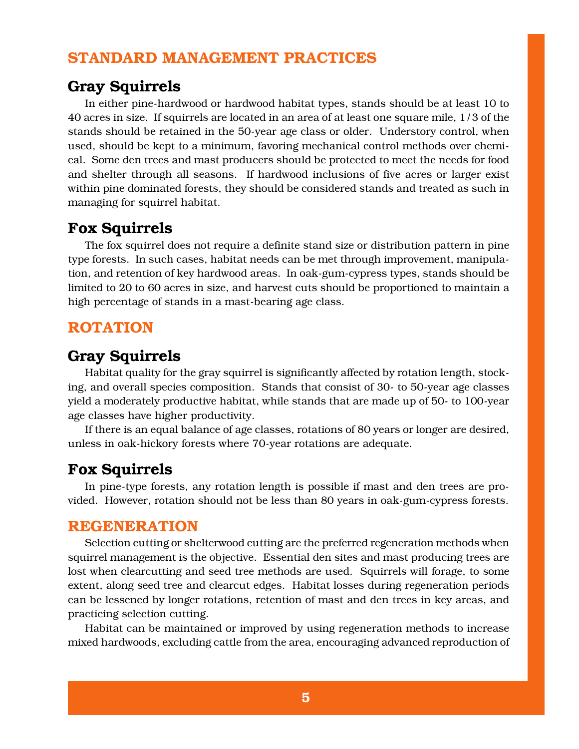#### **STANDARD MANAGEMENT PRACTICES**

#### **Gray Squirrels**

In either pine-hardwood or hardwood habitat types, stands should be at least 10 to 40 acres in size. If squirrels are located in an area of at least one square mile, 1/3 of the stands should be retained in the 50-year age class or older. Understory control, when used, should be kept to a minimum, favoring mechanical control methods over chemical. Some den trees and mast producers should be protected to meet the needs for food and shelter through all seasons. If hardwood inclusions of five acres or larger exist within pine dominated forests, they should be considered stands and treated as such in managing for squirrel habitat.

#### **Fox Squirrels**

The fox squirrel does not require a definite stand size or distribution pattern in pine type forests. In such cases, habitat needs can be met through improvement, manipulation, and retention of key hardwood areas. In oak-gum-cypress types, stands should be limited to 20 to 60 acres in size, and harvest cuts should be proportioned to maintain a high percentage of stands in a mast-bearing age class.

#### **ROTATION**

#### **Gray Squirrels**

Habitat quality for the gray squirrel is significantly affected by rotation length, stocking, and overall species composition. Stands that consist of 30- to 50-year age classes yield a moderately productive habitat, while stands that are made up of 50- to 100-year age classes have higher productivity.

If there is an equal balance of age classes, rotations of 80 years or longer are desired, unless in oak-hickory forests where 70-year rotations are adequate.

#### **Fox Squirrels**

In pine-type forests, any rotation length is possible if mast and den trees are provided. However, rotation should not be less than 80 years in oak-gum-cypress forests.

#### **REGENERATION**

Selection cutting or shelterwood cutting are the preferred regeneration methods when squirrel management is the objective. Essential den sites and mast producing trees are lost when clearcutting and seed tree methods are used. Squirrels will forage, to some extent, along seed tree and clearcut edges. Habitat losses during regeneration periods can be lessened by longer rotations, retention of mast and den trees in key areas, and practicing selection cutting.

Habitat can be maintained or improved by using regeneration methods to increase mixed hardwoods, excluding cattle from the area, encouraging advanced reproduction of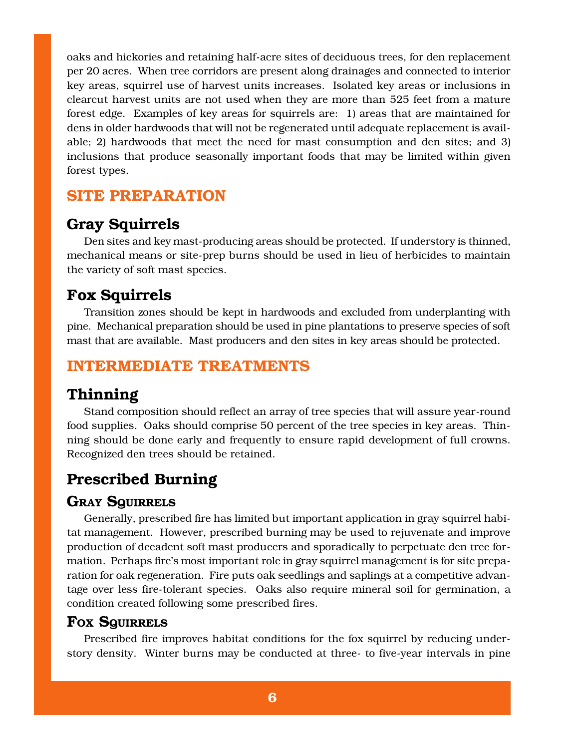oaks and hickories and retaining half-acre sites of deciduous trees, for den replacement per 20 acres. When tree corridors are present along drainages and connected to interior key areas, squirrel use of harvest units increases. Isolated key areas or inclusions in clearcut harvest units are not used when they are more than 525 feet from a mature forest edge. Examples of key areas for squirrels are: 1) areas that are maintained for dens in older hardwoods that will not be regenerated until adequate replacement is available; 2) hardwoods that meet the need for mast consumption and den sites; and 3) inclusions that produce seasonally important foods that may be limited within given forest types.

#### **SITE PREPARATION**

#### **Gray Squirrels**

Den sites and key mast-producing areas should be protected. If understory is thinned, mechanical means or site-prep burns should be used in lieu of herbicides to maintain the variety of soft mast species.

#### **Fox Squirrels**

Transition zones should be kept in hardwoods and excluded from underplanting with pine. Mechanical preparation should be used in pine plantations to preserve species of soft mast that are available. Mast producers and den sites in key areas should be protected.

#### **INTERMEDIATE TREATMENTS**

#### **Thinning**

Stand composition should reflect an array of tree species that will assure year-round food supplies. Oaks should comprise 50 percent of the tree species in key areas. Thinning should be done early and frequently to ensure rapid development of full crowns. Recognized den trees should be retained.

### **Prescribed Burning**

#### **GRAY SQUIRRELS**

Generally, prescribed fire has limited but important application in gray squirrel habitat management. However, prescribed burning may be used to rejuvenate and improve production of decadent soft mast producers and sporadically to perpetuate den tree formation. Perhaps fire's most important role in gray squirrel management is for site preparation for oak regeneration. Fire puts oak seedlings and saplings at a competitive advantage over less fire-tolerant species. Oaks also require mineral soil for germination, a condition created following some prescribed fires.

#### **FOX SQUIRRELS**

Prescribed fire improves habitat conditions for the fox squirrel by reducing understory density. Winter burns may be conducted at three- to five-year intervals in pine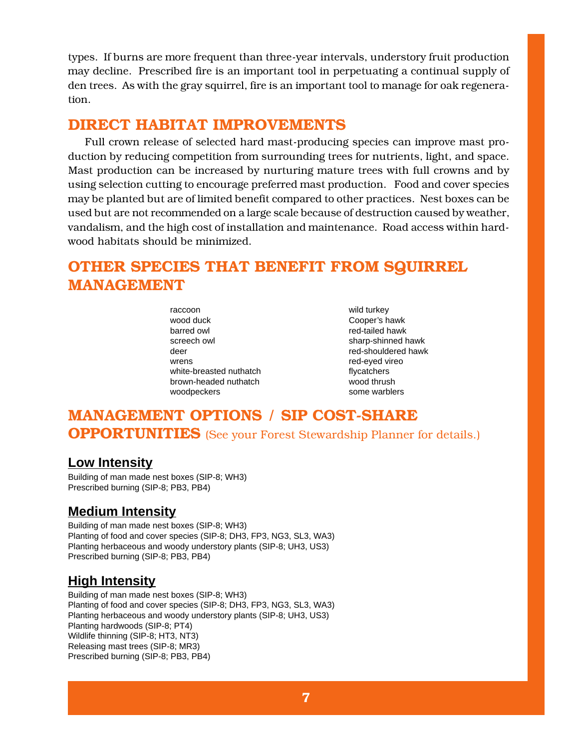types. If burns are more frequent than three-year intervals, understory fruit production may decline. Prescribed fire is an important tool in perpetuating a continual supply of den trees. As with the gray squirrel, fire is an important tool to manage for oak regeneration.

#### **DIRECT HABITAT IMPROVEMENTS**

Full crown release of selected hard mast-producing species can improve mast production by reducing competition from surrounding trees for nutrients, light, and space. Mast production can be increased by nurturing mature trees with full crowns and by using selection cutting to encourage preferred mast production. Food and cover species may be planted but are of limited benefit compared to other practices. Nest boxes can be used but are not recommended on a large scale because of destruction caused by weather, vandalism, and the high cost of installation and maintenance. Road access within hardwood habitats should be minimized.

## **OTHER SPECIES THAT BENEFIT FROM SQUIRREL MANAGEMENT**

raccoon wild turkey wood duck **Cooper's hawk** barred owl barred owl red-tailed hawk screech owl sharp-shinned hawk deer red-shouldered hawk wrens **red-eyed** vireo white-breasted nuthatch **flycatchers** brown-headed nuthatch wood thrush woodpeckers some warblers

### **MANAGEMENT OPTIONS / SIP COST-SHARE OPPORTUNITIES** (See your Forest Stewardship Planner for details.)

#### **Low Intensity**

Building of man made nest boxes (SIP-8; WH3) Prescribed burning (SIP-8; PB3, PB4)

#### **Medium Intensity**

Building of man made nest boxes (SIP-8; WH3) Planting of food and cover species (SIP-8; DH3, FP3, NG3, SL3, WA3) Planting herbaceous and woody understory plants (SIP-8; UH3, US3) Prescribed burning (SIP-8; PB3, PB4)

#### **High Intensity**

Building of man made nest boxes (SIP-8; WH3) Planting of food and cover species (SIP-8; DH3, FP3, NG3, SL3, WA3) Planting herbaceous and woody understory plants (SIP-8; UH3, US3) Planting hardwoods (SIP-8; PT4) Wildlife thinning (SIP-8; HT3, NT3) Releasing mast trees (SIP-8; MR3) Prescribed burning (SIP-8; PB3, PB4)